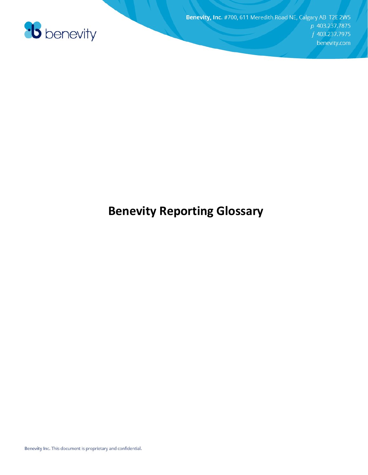

### **Benevity Reporting Glossary**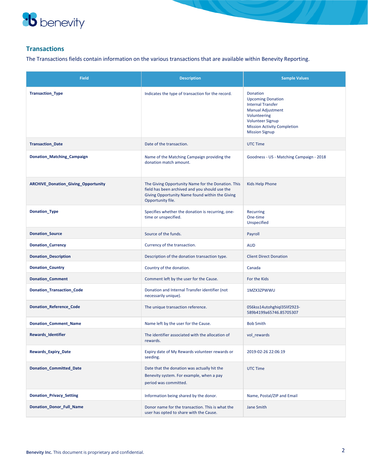

### **Transactions**

The Transactions fields contain information on the various transactions that are available within Benevity Reporting.

| <b>Field</b>                        | <b>Description</b>                                                                                                                                                           | <b>Sample Values</b>                                                                                                                                                                                   |
|-------------------------------------|------------------------------------------------------------------------------------------------------------------------------------------------------------------------------|--------------------------------------------------------------------------------------------------------------------------------------------------------------------------------------------------------|
| <b>Transaction_Type</b>             | Indicates the type of transaction for the record.                                                                                                                            | Donation<br><b>Upcoming Donation</b><br><b>Internal Transfer</b><br><b>Manual Adjustment</b><br>Volunteering<br><b>Volunteer Signup</b><br><b>Mission Activity Completion</b><br><b>Mission Signup</b> |
| <b>Transaction_Date</b>             | Date of the transaction.                                                                                                                                                     | <b>UTC Time</b>                                                                                                                                                                                        |
| Donation_Matching_Campaign          | Name of the Matching Campaign providing the<br>donation match amount.                                                                                                        | Goodness - US - Matching Campaign - 2018                                                                                                                                                               |
| ARCHIVE_Donation_Giving_Opportunity | The Giving Opportunity Name for the Donation. This<br>field has been archived and you should use the<br>Giving Opportunity Name found within the Giving<br>Opportunity file. | Kids Help Phone                                                                                                                                                                                        |
| <b>Donation_Type</b>                | Specifies whether the donation is recurring, one-<br>time or unspecified.                                                                                                    | Recurring<br>One-time<br>Unspecified                                                                                                                                                                   |
| <b>Donation_Source</b>              | Source of the funds.                                                                                                                                                         | Payroll                                                                                                                                                                                                |
| <b>Donation_Currency</b>            | Currency of the transaction.                                                                                                                                                 | <b>AUD</b>                                                                                                                                                                                             |
| <b>Donation_Description</b>         | Description of the donation transaction type.                                                                                                                                | <b>Client Direct Donation</b>                                                                                                                                                                          |
| <b>Donation_Country</b>             | Country of the donation.                                                                                                                                                     | Canada                                                                                                                                                                                                 |
| <b>Donation_Comment</b>             | Comment left by the user for the Cause.                                                                                                                                      | For the Kids                                                                                                                                                                                           |
| <b>Donation_Transaction_Code</b>    | Donation and Internal Transfer identifier (not<br>necessarily unique).                                                                                                       | 1MZX3ZPWWU                                                                                                                                                                                             |
| Donation_Reference_Code             | The unique transaction reference.                                                                                                                                            | 056kss14utohghiql35lif2923-<br>589b4199a65746.85705307                                                                                                                                                 |
| <b>Donation_Comment_Name</b>        | Name left by the user for the Cause.                                                                                                                                         | <b>Bob Smith</b>                                                                                                                                                                                       |
| <b>Rewards_Identifier</b>           | The identifier associated with the allocation of<br>rewards.                                                                                                                 | vol_rewards                                                                                                                                                                                            |
| <b>Rewards_Expiry_Date</b>          | Expiry date of My Rewards volunteer rewards or<br>seeding.                                                                                                                   | 2019-02-26 22:06:19                                                                                                                                                                                    |
| Donation_Committed_Date             | Date that the donation was actually hit the<br>Benevity system. For example, when a pay<br>period was committed.                                                             | <b>UTC Time</b>                                                                                                                                                                                        |
| <b>Donation_Privacy_Setting</b>     | Information being shared by the donor.                                                                                                                                       | Name, Postal/ZIP and Email                                                                                                                                                                             |
| <b>Donation Donor Full Name</b>     | Donor name for the transaction. This is what the<br>user has opted to share with the Cause.                                                                                  | Jane Smith                                                                                                                                                                                             |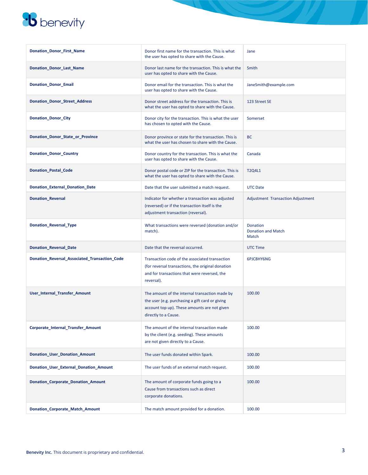

| Donation_Donor_First_Name                     | Donor first name for the transaction. This is what<br>the user has opted to share with the Cause.                                                                         | Jane                                           |
|-----------------------------------------------|---------------------------------------------------------------------------------------------------------------------------------------------------------------------------|------------------------------------------------|
| <b>Donation Donor Last Name</b>               | Donor last name for the transaction. This is what the<br>user has opted to share with the Cause.                                                                          | Smith                                          |
| <b>Donation_Donor_Email</b>                   | Donor email for the transaction. This is what the<br>user has opted to share with the Cause.                                                                              | JaneSmith@example.com                          |
| <b>Donation_Donor_Street_Address</b>          | Donor street address for the transaction. This is<br>what the user has opted to share with the Cause.                                                                     | 123 Street SE                                  |
| <b>Donation_Donor_City</b>                    | Donor city for the transaction. This is what the user<br>has chosen to opted with the Cause.                                                                              | Somerset                                       |
| Donation_Donor_State_or_Province              | Donor province or state for the transaction. This is<br>what the user has chosen to share with the Cause.                                                                 | <b>BC</b>                                      |
| <b>Donation_Donor_Country</b>                 | Donor country for the transaction. This is what the<br>user has opted to share with the Cause.                                                                            | Canada                                         |
| <b>Donation Postal Code</b>                   | Donor postal code or ZIP for the transaction. This is<br>what the user has opted to share with the Cause.                                                                 | T2Q4L1                                         |
| <b>Donation_External_Donation_Date</b>        | Date that the user submitted a match request.                                                                                                                             | <b>UTC Date</b>                                |
| <b>Donation_Reversal</b>                      | Indicator for whether a transaction was adjusted<br>(reversed) or if the transaction itself is the<br>adjustment transaction (reversal).                                  | Adjustment Transaction Adjustment              |
| Donation_Reversal_Type                        | What transactions were reversed (donation and/or<br>match).                                                                                                               | Donation<br><b>Donation and Match</b><br>Match |
| <b>Donation_Reversal_Date</b>                 | Date that the reversal occurred.                                                                                                                                          | <b>UTC Time</b>                                |
| Donation_Reversal_Associated_Transaction_Code | Transaction code of the associated transaction<br>(for reversal transactions, the original donation<br>and for transactions that were reversed, the<br>reversal).         | 6PJC8HY6NG                                     |
| User_Internal_Transfer_Amount                 | The amount of the internal transaction made by<br>the user (e.g. purchasing a gift card or giving<br>account top up). These amounts are not given<br>directly to a Cause. | 100.00                                         |
| Corporate_Internal_Transfer_Amount            | The amount of the internal transaction made<br>by the client (e.g. seeding). These amounts<br>are not given directly to a Cause.                                          | 100.00                                         |
| <b>Donation_User_Donation_Amount</b>          | The user funds donated within Spark.                                                                                                                                      | 100.00                                         |
| Donation_User_External_Donation_Amount        | The user funds of an external match request.                                                                                                                              | 100.00                                         |
| <b>Donation_Corporate_Donation_Amount</b>     | The amount of corporate funds going to a<br>Cause from transactions such as direct<br>corporate donations.                                                                | 100.00                                         |
| Donation_Corporate_Match_Amount               | The match amount provided for a donation.                                                                                                                                 | 100.00                                         |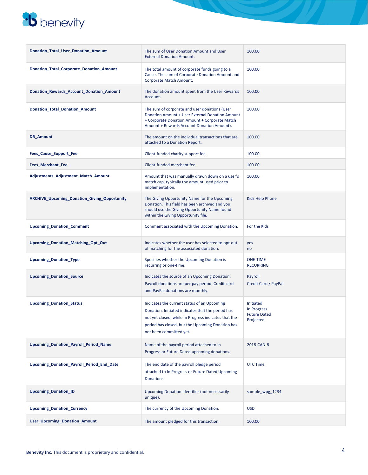

| Donation_Total_User_Donation_Amount                 | The sum of User Donation Amount and User<br><b>External Donation Amount.</b>                                                                                                                                                            | 100.00                                                       |
|-----------------------------------------------------|-----------------------------------------------------------------------------------------------------------------------------------------------------------------------------------------------------------------------------------------|--------------------------------------------------------------|
| Donation_Total_Corporate_Donation_Amount            | The total amount of corporate funds going to a<br>Cause. The sum of Corporate Donation Amount and<br>Corporate Match Amount.                                                                                                            | 100.00                                                       |
| Donation_Rewards_Account_Donation_Amount            | The donation amount spent from the User Rewards<br>Account.                                                                                                                                                                             | 100.00                                                       |
| <b>Donation Total Donation Amount</b>               | The sum of corporate and user donations (User<br>Donation Amount + User External Donation Amount<br>+ Corporate Donation Amount + Corporate Match<br>Amount + Rewards Account Donation Amount).                                         | 100.00                                                       |
| DR_Amount                                           | The amount on the individual transactions that are<br>attached to a Donation Report.                                                                                                                                                    | 100.00                                                       |
| <b>Fees_Cause_Support_Fee</b>                       | Client-funded charity support fee.                                                                                                                                                                                                      | 100.00                                                       |
| Fees_Merchant_Fee                                   | Client-funded merchant fee.                                                                                                                                                                                                             | 100.00                                                       |
| Adjustments_Adjustment_Match_Amount                 | Amount that was manually drawn down on a user's<br>match cap, typically the amount used prior to<br>implementation.                                                                                                                     | 100.00                                                       |
| <b>ARCHIVE_Upcoming_Donation_Giving_Opportunity</b> | The Giving Opportunity Name for the Upcoming<br>Donation. This field has been archived and you<br>should use the Giving Opportunity Name found<br>within the Giving Opportunity file.                                                   | Kids Help Phone                                              |
| <b>Upcoming_Donation_Comment</b>                    | Comment associated with the Upcoming Donation.                                                                                                                                                                                          | For the Kids                                                 |
| Upcoming_Donation_Matching_Opt_Out                  | Indicates whether the user has selected to opt-out<br>of matching for the associated donation.                                                                                                                                          | yes<br>no                                                    |
| <b>Upcoming_Donation_Type</b>                       | Specifies whether the Upcoming Donation is<br>recurring or one-time.                                                                                                                                                                    | <b>ONE-TIME</b><br><b>RECURRING</b>                          |
| <b>Upcoming_Donation_Source</b>                     | Indicates the source of an Upcoming Donation.<br>Payroll donations are per pay period. Credit card<br>and PayPal donations are monthly.                                                                                                 | Payroll<br>Credit Card / PayPal                              |
| <b>Upcoming Donation Status</b>                     | Indicates the current status of an Upcoming<br>Donation. Initiated indicates that the period has<br>not yet closed, while In Progress indicates that the<br>period has closed, but the Upcoming Donation has<br>not been committed yet. | Initiated<br>In Progress<br><b>Future Dated</b><br>Projected |
| <b>Upcoming Donation Payroll Period Name</b>        | Name of the payroll period attached to In<br>Progress or Future Dated upcoming donations.                                                                                                                                               | 2018-CAN-8                                                   |
| Upcoming_Donation_Payroll_Period_End_Date           | The end date of the payroll pledge period<br>attached to In Progress or Future Dated Upcoming<br>Donations.                                                                                                                             | UTC Time                                                     |
| <b>Upcoming_Donation_ID</b>                         | Upcoming Donation identifier (not necessarily<br>unique).                                                                                                                                                                               | sample_wpg_1234                                              |
| <b>Upcoming_Donation_Currency</b>                   | The currency of the Upcoming Donation.                                                                                                                                                                                                  | <b>USD</b>                                                   |
| <b>User_Upcoming_Donation_Amount</b>                | The amount pledged for this transaction.                                                                                                                                                                                                | 100.00                                                       |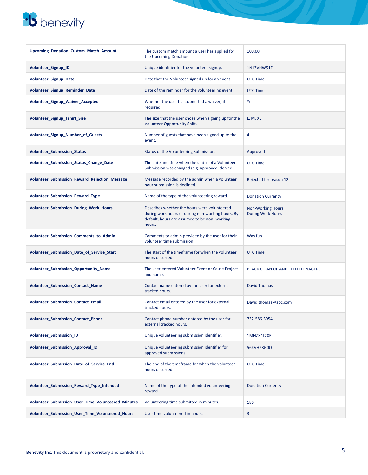| Upcoming_Donation_Custom_Match_Amount              | The custom match amount a user has applied for<br>the Upcoming Donation.                                                                                    | 100.00                                               |
|----------------------------------------------------|-------------------------------------------------------------------------------------------------------------------------------------------------------------|------------------------------------------------------|
| Volunteer Signup ID                                | Unique identifier for the volunteer signup.                                                                                                                 | 1N1ZVHW51F                                           |
| Volunteer_Signup_Date                              | Date that the Volunteer signed up for an event.                                                                                                             | <b>UTC Time</b>                                      |
| Volunteer_Signup_Reminder_Date                     | Date of the reminder for the volunteering event.                                                                                                            | <b>UTC Time</b>                                      |
| Volunteer_Signup_Waiver_Accepted                   | Whether the user has submitted a waiver, if<br>required.                                                                                                    | Yes                                                  |
| Volunteer_Signup_Tshirt_Size                       | The size that the user chose when signing up for the<br>Volunteer Opportunity Shift.                                                                        | L, M, XL                                             |
| Volunteer_Signup_Number_of_Guests                  | Number of guests that have been signed up to the<br>event.                                                                                                  | 4                                                    |
| <b>Volunteer_Submission_Status</b>                 | Status of the Volunteering Submission.                                                                                                                      | Approved                                             |
| Volunteer_Submission_Status_Change_Date            | The date and time when the status of a Volunteer<br>Submission was changed (e.g. approved, denied).                                                         | <b>UTC Time</b>                                      |
| Volunteer_Submission_Reward_Rejection_Message      | Message recorded by the admin when a volunteer<br>hour submission is declined.                                                                              | Rejected for reason 12                               |
| <b>Volunteer Submission Reward Type</b>            | Name of the type of the volunteering reward.                                                                                                                | <b>Donation Currency</b>                             |
| Volunteer Submission During Work Hours             | Describes whether the hours were volunteered<br>during work hours or during non-working hours. By<br>default, hours are assumed to be non-working<br>hours. | <b>Non-Working Hours</b><br><b>During Work Hours</b> |
| Volunteer_Submission_Comments_to_Admin             | Comments to admin provided by the user for their<br>volunteer time submission.                                                                              | Was fun                                              |
| Volunteer_Submission_Date_of_Service_Start         | The start of the timeframe for when the volunteer<br>hours occurred.                                                                                        | <b>UTC Time</b>                                      |
| Volunteer_Submission_Opportunity_Name              | The user-entered Volunteer Event or Cause Project<br>and name.                                                                                              | BEACK CLEAN UP AND FEED TEENAGERS                    |
| Volunteer_Submission_Contact_Name                  | Contact name entered by the user for external<br>tracked hours.                                                                                             | <b>David Thomas</b>                                  |
| Volunteer Submission Contact Email                 | Contact email entered by the user for external<br>tracked hours.                                                                                            | David.thomas@abc.com                                 |
| Volunteer_Submission_Contact_Phone                 | Contact phone number entered by the user for<br>external tracked hours.                                                                                     | 732-586-3954                                         |
| Volunteer Submission ID                            | Unique volunteering submission identifier.                                                                                                                  | 1MNZX4L20F                                           |
| Volunteer Submission Approval ID                   | Unique volunteering submission identifier for<br>approved submissions.                                                                                      | 56XVHP8G0Q                                           |
| Volunteer_Submission_Date_of_Service_End           | The end of the timeframe for when the volunteer<br>hours occurred.                                                                                          | <b>UTC Time</b>                                      |
| Volunteer Submission Reward Type Intended          | Name of the type of the intended volunteering<br>reward.                                                                                                    | <b>Donation Currency</b>                             |
| Volunteer_Submission_User_Time_Volunteered_Minutes | Volunteering time submitted in minutes.                                                                                                                     | 180                                                  |
| Volunteer_Submission_User_Time_Volunteered_Hours   | User time volunteered in hours.                                                                                                                             | 3                                                    |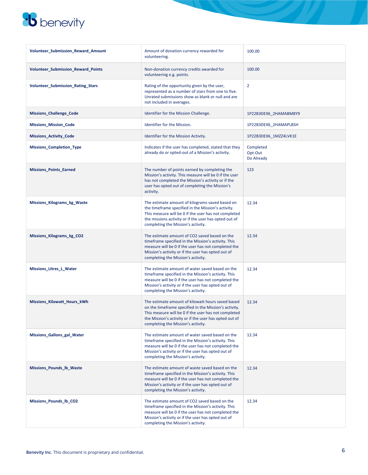

| <b>Volunteer_Submission_Reward_Amount</b> | Amount of donation currency rewarded for<br>volunteering.                                                                                                                                                                                                          | 100.00                             |
|-------------------------------------------|--------------------------------------------------------------------------------------------------------------------------------------------------------------------------------------------------------------------------------------------------------------------|------------------------------------|
| Volunteer_Submission_Reward_Points        | Non-donation currency credits awarded for<br>volunteering e.g. points.                                                                                                                                                                                             | 100.00                             |
| <b>Volunteer_Submission_Rating_Stars</b>  | Rating of the opportunity given by the user,<br>represented as a number of stars from one to five.<br>Unrated submissions show as blank or null and are<br>not included in averages.                                                                               | $\overline{2}$                     |
| <b>Missions Challenge Code</b>            | Identifier for the Mission Challenge.                                                                                                                                                                                                                              | 1P22B3DEX6 2HAMABM8Y9              |
| <b>Missions_Mission_Code</b>              | Identifier for the Mission.                                                                                                                                                                                                                                        | 1P22B3DEX6_2HAMAPLBSH              |
| <b>Missions_Activity_Code</b>             | Identifier for the Mission Activity.                                                                                                                                                                                                                               | 1P22B3DEX6_1MZZ4LVK1E              |
| <b>Missions_Completion_Type</b>           | Indicates if the user has completed, stated that they<br>already do or opted-out of a Mission's activity.                                                                                                                                                          | Completed<br>Opt-Out<br>Do Already |
| <b>Missions_Points_Earned</b>             | The number of points earned by completing the<br>Mission's activity. This measure will be 0 if the user<br>has not completed the Mission's activity or if the<br>user has opted out of completing the Mission's<br>activity.                                       | 123                                |
| <b>Missions_Kilograms_kg_Waste</b>        | The estimate amount of kilograms saved based on<br>the timeframe specified in the Mission's activity.<br>This measure will be 0 if the user has not completed<br>the missions activity or if the user has opted out of<br>completing the Mission's activity.       | 12.34                              |
| <b>Missions_Kilograms_kg_CO2</b>          | The estimate amount of CO2 saved based on the<br>timeframe specified in the Mission's activity. This<br>measure will be 0 if the user has not completed the<br>Mission's activity or if the user has opted out of<br>completing the Mission's activity.            | 12.34                              |
| Missions_Litres_L_Water                   | The estimate amount of water saved based on the<br>timeframe specified in the Mission's activity. This<br>measure will be 0 if the user has not completed the<br>Mission's activity or if the user has opted out of<br>completing the Mission's activity.          | 12.34                              |
| Missions_Kilowatt_Hours_kWh               | The estimate amount of kilowatt hours saved based<br>on the timeframe specified in the Mission's activity.<br>This measure will be 0 if the user has not completed<br>the Mission's activity or if the user has opted out of<br>completing the Mission's activity. | 12.34                              |
| Missions_Gallons_gal_Water                | The estimate amount of water saved based on the<br>timeframe specified in the Mission's activity. This<br>measure will be 0 if the user has not completed the<br>Mission's activity or if the user has opted out of<br>completing the Mission's activity.          | 12.34                              |
| Missions Pounds Ib Waste                  | The estimate amount of waste saved based on the<br>timeframe specified in the Mission's activity. This<br>measure will be 0 if the user has not completed the<br>Mission's activity or if the user has opted out of<br>completing the Mission's activity.          | 12.34                              |
| Missions_Pounds_lb_CO2                    | The estimate amount of CO2 saved based on the<br>timeframe specified in the Mission's activity. This<br>measure will be 0 if the user has not completed the<br>Mission's activity or if the user has opted out of<br>completing the Mission's activity.            | 12.34                              |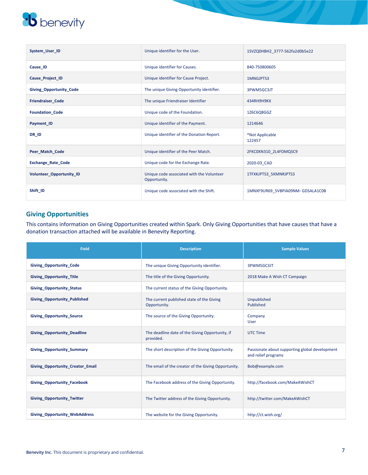| System User ID            | Unique identifier for the User.                           | 1SVZQ0HBH2 3777-562fa2d0b5e22    |
|---------------------------|-----------------------------------------------------------|----------------------------------|
| Cause_ID                  | Unique identifier for Causes.                             | 840-750800605                    |
| <b>Cause Project ID</b>   | Unique identifier for Cause Project.                      | 1MNGJPTS3                        |
| Giving_Opportunity_Code   | The unique Giving Opportunity identifier.                 | 3PWM5GC3JT                       |
| <b>Friendraiser Code</b>  | The unique Friendraiser Identifier                        | 434RH9H9KX                       |
| <b>Foundation Code</b>    | Unique code of the Foundation.                            | 1Z6C6Q8GGZ                       |
| Payment ID                | Unique identifier of the Payment.                         | 1214646                          |
| DR_ID                     | Unique identifier of the Donation Report.                 | *Not Applicable<br>122457        |
| Peer_Match_Code           | Unique identifier of the Peer Match.                      | 2FKC0XN310_2L4FDMQSC9            |
| <b>Exchange_Rate_Code</b> | Unique code for the Exchange Rate.                        | 2020-03 CAD                      |
| Volunteer_Opportunity_ID  | Unique code associated with the Volunteer<br>Opportunity. | 1TFXKJPTS3_5KMNRJPTS3            |
| Shift_ID                  | Unique code associated with the Shift.                    | 1MNXF9UR69_5VBPIA09NM-GDSALA1C0B |

### **Giving Opportunities**

This contains information on Giving Opportunities created within Spark. Only Giving Opportunities that have causes that have a donation transaction attached will be available in Benevity Reporting.

| Field                                   | <b>Description</b>                                           | <b>Sample Values</b>                                                  |
|-----------------------------------------|--------------------------------------------------------------|-----------------------------------------------------------------------|
| <b>Giving Opportunity Code</b>          | The unique Giving Opportunity identifier.                    | 3PWM5GC3JT                                                            |
| <b>Giving Opportunity Title</b>         | The title of the Giving Opportunity.                         | 2018 Make A Wish CT Campaign                                          |
| <b>Giving Opportunity Status</b>        | The current status of the Giving Opportunity.                |                                                                       |
| <b>Giving Opportunity Published</b>     | The current published state of the Giving<br>Opportunity.    | Unpublished<br>Published                                              |
| <b>Giving Opportunity Source</b>        | The source of the Giving Opportunity.                        | Company<br><b>User</b>                                                |
| <b>Giving Opportunity Deadline</b>      | The deadline date of the Giving Opportunity, if<br>provided. | UTC Time                                                              |
| <b>Giving Opportunity Summary</b>       | The short description of the Giving Opportunity.             | Passionate about supporting global development<br>and relief programs |
| <b>Giving Opportunity Creator Email</b> | The email of the creator of the Giving Opportunity.          | Bob@example.com                                                       |
| <b>Giving Opportunity Facebook</b>      | The Facebook address of the Giving Opportunity.              | http://facebook.com/MakeAWishCT                                       |
| <b>Giving Opportunity Twitter</b>       | The Twitter address of the Giving Opportunity.               | http://twitter.com/MakeAWishCT                                        |
| <b>Giving Opportunity WebAddress</b>    | The website for the Giving Opportunity.                      | http://ct.wish.org/                                                   |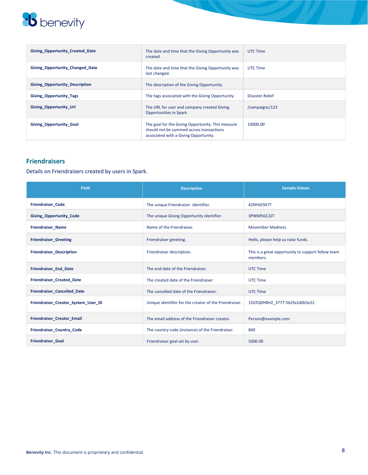| <b>Giving Opportunity Created Date</b> | The date and time that the Giving Opportunity was<br>created.                                                                          | UTC Time        |
|----------------------------------------|----------------------------------------------------------------------------------------------------------------------------------------|-----------------|
| <b>Giving Opportunity Changed Date</b> | The date and time that the Giving Opportunity was<br>last changed.                                                                     | UTC Time        |
| <b>Giving Opportunity Description</b>  | The description of the Giving Opportunity.                                                                                             |                 |
| <b>Giving Opportunity Tags</b>         | The tags associated with the Giving Opportunity.                                                                                       | Disaster Relief |
| <b>Giving Opportunity Url</b>          | The URL for user and company created Giving<br><b>Opportunities in Spark.</b>                                                          | /campaigns/123  |
| <b>Giving Opportunity Goal</b>         | The goal for the Giving Opportunity. This measure<br>should not be summed across transactions<br>associated with a Giving Opportunity. | 10000.00        |

### **Friendraisers**

Details on Friendraisers created by users in Spark.

| <b>Field</b>                        | <b>Description</b>                                     | <b>Sample Values</b>                                           |
|-------------------------------------|--------------------------------------------------------|----------------------------------------------------------------|
| <b>Friendraiser Code</b>            | The unique Friendraiser identifier.                    | 42NY6E947T                                                     |
| <b>Giving Opportunity Code</b>      | The unique Giving Opportunity identifier.              | 3PWM5GC3JT                                                     |
| <b>Friendraiser Name</b>            | Name of the Friendraiser.                              | <b>Movember Madness</b>                                        |
| <b>Friendraiser Greeting</b>        | Friendraiser greeting.                                 | Hello, please help us raise funds.                             |
| <b>Friendraiser Description</b>     | Friendraiser description.                              | This is a great opportunity to support fellow team<br>members. |
| <b>Friendraiser End Date</b>        | The end date of the Friendraiser.                      | <b>UTC Time</b>                                                |
| <b>Friendraiser Created Date</b>    | The created date of the Friendraiser.                  | <b>UTC Time</b>                                                |
| Friendraiser Cancelled Date         | The cancelled date of the Friendraiser.                | <b>UTC Time</b>                                                |
| Friendraiser Creator System User ID | Unique identifier for the creator of the Friendraiser. | 1SVZQ0HBH2 3777-562fa2d0b5e22                                  |
| Friendraiser Creator Email          | The email address of the Friendraiser creator.         | Person@example.com                                             |
| <b>Friendraiser Country Code</b>    | The country code (instance) of the Friendraiser.       | 840                                                            |
| <b>Friendraiser Goal</b>            | Friendraiser goal set by user.                         | 5000.00                                                        |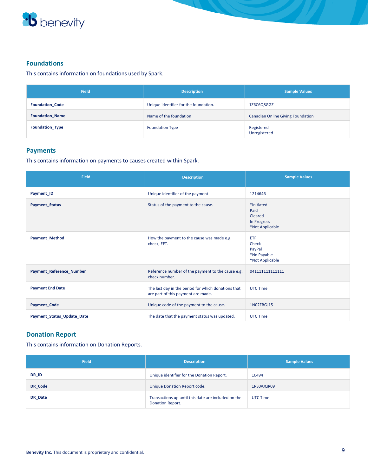

### **Foundations**

This contains information on foundations used by Spark.

| <b>Field</b>           | <b>Description</b>                    | <b>Sample Values</b>                     |
|------------------------|---------------------------------------|------------------------------------------|
| <b>Foundation Code</b> | Unique identifier for the foundation. | 1Z6C6Q8GGZ                               |
| <b>Foundation Name</b> | Name of the foundation                | <b>Canadian Online Giving Foundation</b> |
| <b>Foundation Type</b> | <b>Foundation Type</b>                | Registered<br>Unregistered               |

#### **Payments**

This contains information on payments to causes created within Spark.

| <b>Field</b>                    | <b>Description</b>                                                                        | <b>Sample Values</b>                                            |
|---------------------------------|-------------------------------------------------------------------------------------------|-----------------------------------------------------------------|
| Payment ID                      | Unique identifier of the payment                                                          | 1214646                                                         |
| <b>Payment_Status</b>           | Status of the payment to the cause.                                                       | *Initiated<br>Paid<br>Cleared<br>In Progress<br>*Not Applicable |
| <b>Payment_Method</b>           | How the payment to the cause was made e.g.<br>check, EFT.                                 | <b>ETF</b><br>Check<br>PayPal<br>*No Payable<br>*Not Applicable |
| <b>Payment_Reference_Number</b> | Reference number of the payment to the cause e.g.<br>check number.                        | 041111111111111                                                 |
| <b>Payment End Date</b>         | The last day in the period for which donations that<br>are part of this payment are made. | UTC Time                                                        |
| <b>Payment_Code</b>             | Unique code of the payment to the cause.                                                  | 1N02ZBGJ15                                                      |
| Payment_Status_Update_Date      | The date that the payment status was updated.                                             | UTC Time                                                        |

### **Donation Report**

This contains information on Donation Reports.

| <b>Field</b> | <b>Description</b>                                                             | <b>Sample Values</b> |
|--------------|--------------------------------------------------------------------------------|----------------------|
| DR_ID        | Unique identifier for the Donation Report.                                     | 10494                |
| DR Code      | Unique Donation Report code.                                                   | 1RS0AJQR09           |
| DR Date      | Transactions up until this date are included on the<br><b>Donation Report.</b> | UTC Time             |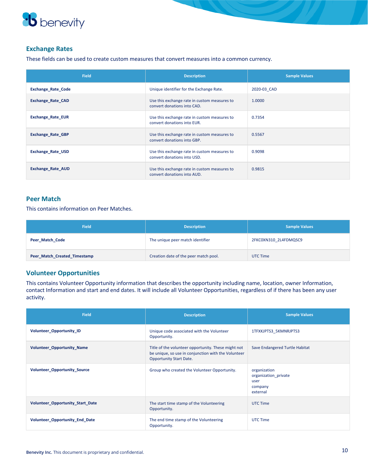

### **Exchange Rates**

These fields can be used to create custom measures that convert measures into a common currency.

| <b>Field</b>              | <b>Description</b>                                                          | <b>Sample Values</b> |
|---------------------------|-----------------------------------------------------------------------------|----------------------|
| <b>Exchange Rate Code</b> | Unique identifier for the Exchange Rate.                                    | 2020-03 CAD          |
| Exchange_Rate_CAD         | Use this exchange rate in custom measures to<br>convert donations into CAD. | 1.0000               |
| <b>Exchange Rate EUR</b>  | Use this exchange rate in custom measures to<br>convert donations into EUR. | 0.7354               |
| <b>Exchange Rate GBP</b>  | Use this exchange rate in custom measures to<br>convert donations into GBP. | 0.5567               |
| <b>Exchange Rate USD</b>  | Use this exchange rate in custom measures to<br>convert donations into USD. | 0.9098               |
| <b>Exchange Rate AUD</b>  | Use this exchange rate in custom measures to<br>convert donations into AUD. | 0.9815               |

### **Peer Match**

This contains information on Peer Matches.

| <b>Field</b>                 | <b>Description</b>                    | <b>Sample Values</b>  |
|------------------------------|---------------------------------------|-----------------------|
| Peer Match Code              | The unique peer match identifier      | 2FKC0XN310 2L4FDMQSC9 |
| Peer_Match_Created_Timestamp | Creation date of the peer match pool. | UTC Time              |

#### **Volunteer Opportunities**

This contains Volunteer Opportunity information that describes the opportunity including name, location, owner Information, contact Information and start and end dates. It will include all Volunteer Opportunities, regardless of if there has been any user activity.

| <b>Field</b>                            | <b>Description</b>                                                                                                                           | <b>Sample Values</b>                                                |
|-----------------------------------------|----------------------------------------------------------------------------------------------------------------------------------------------|---------------------------------------------------------------------|
| <b>Volunteer Opportunity ID</b>         | Unique code associated with the Volunteer<br>Opportunity.                                                                                    | 1TFXKJPTS3 5KMNRJPTS3                                               |
| <b>Volunteer Opportunity Name</b>       | Title of the volunteer opportunity. These might not<br>be unique, so use in conjunction with the Volunteer<br><b>Opportunity Start Date.</b> | Save Endangered Turtle Habitat                                      |
| <b>Volunteer Opportunity Source</b>     | Group who created the Volunteer Opportunity.                                                                                                 | organization<br>organization private<br>user<br>company<br>external |
| <b>Volunteer Opportunity Start Date</b> | The start time stamp of the Volunteering<br>Opportunity.                                                                                     | UTC Time                                                            |
| Volunteer_Opportunity_End_Date          | The end time stamp of the Volunteering<br>Opportunity.                                                                                       | <b>UTC Time</b>                                                     |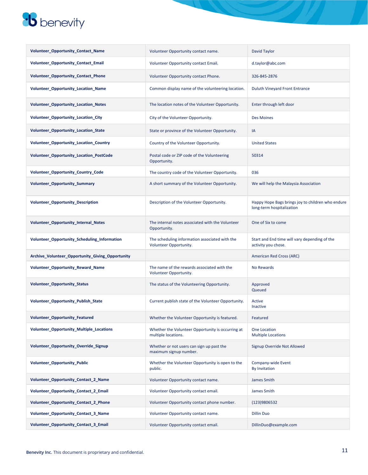| Volunteer_Opportunity_Contact_Name               | Volunteer Opportunity contact name.                                      | David Taylor                                                                   |
|--------------------------------------------------|--------------------------------------------------------------------------|--------------------------------------------------------------------------------|
| <b>Volunteer Opportunity Contact Email</b>       | Volunteer Opportunity contact Email.                                     | d.taylor@abc.com                                                               |
| Volunteer_Opportunity_Contact_Phone              | Volunteer Opportunity contact Phone.                                     | 326-845-2876                                                                   |
| <b>Volunteer_Opportunity_Location_Name</b>       | Common display name of the volunteering location.                        | <b>Duluth Vineyard Front Entrance</b>                                          |
| <b>Volunteer_Opportunity_Location_Notes</b>      | The location notes of the Volunteer Opportunity.                         | Enter through left door                                                        |
| Volunteer_Opportunity_Location_City              | City of the Volunteer Opportunity.                                       | <b>Des Moines</b>                                                              |
| Volunteer_Opportunity_Location_State             | State or province of the Volunteer Opportunity.                          | IA                                                                             |
| Volunteer_Opportunity_Location_Country           | Country of the Volunteer Opportunity.                                    | <b>United States</b>                                                           |
| Volunteer_Opportunity_Location_PostCode          | Postal code or ZIP code of the Volunteering<br>Opportunity.              | 50314                                                                          |
| Volunteer_Opportunity_Country_Code               | The country code of the Volunteer Opportunity.                           | 036                                                                            |
| <b>Volunteer Opportunity Summary</b>             | A short summary of the Volunteer Opportunity.                            | We will help the Malaysia Association                                          |
| <b>Volunteer Opportunity Description</b>         | Description of the Volunteer Opportunity.                                | Happy Hope Bags brings joy to children who endure<br>long-term hospitalization |
| Volunteer_Opportunity_Internal_Notes             | The internal notes associated with the Volunteer<br>Opportunity.         | One of Six to come                                                             |
| Volunteer_Opportunity_Scheduling_Information     | The scheduling information associated with the<br>Volunteer Opportunity. | Start and End time will vary depending of the<br>activity you chose.           |
| Archive_Volunteer_Opportunity_Giving_Opportunity |                                                                          | American Red Cross (ARC)                                                       |
| Volunteer_Opportunity_Reward_Name                | The name of the rewards associated with the<br>Volunteer Opportunity.    | <b>No Rewards</b>                                                              |
| <b>Volunteer_Opportunity_Status</b>              | The status of the Volunteering Opportunity.                              | Approved<br>Queued                                                             |
| Volunteer_Opportunity_Publish_State              | Current publish state of the Volunteer Opportunity.                      | Active<br>Inactive                                                             |
| Volunteer_Opportunity_Featured                   | Whether the Volunteer Opportunity is featured.                           | Featured                                                                       |
| Volunteer_Opportunity_Multiple_Locations         | Whether the Volunteer Opportunity is occurring at<br>multiple locations. | One Location<br><b>Multiple Locations</b>                                      |
| Volunteer_Opportunity_Override_Signup            | Whether or not users can sign up past the<br>maximum signup number.      | Signup Override Not Allowed                                                    |
| <b>Volunteer Opportunity Public</b>              | Whether the Volunteer Opportunity is open to the<br>public.              | Company-wide Event<br><b>By Invitation</b>                                     |
| <b>Volunteer Opportunity Contact 2 Name</b>      | Volunteer Opportunity contact name.                                      | James Smith                                                                    |
| Volunteer Opportunity Contact 2 Email            | Volunteer Opportunity contact email.                                     | James Smith                                                                    |
| Volunteer Opportunity Contact 2 Phone            | Volunteer Opportunity contact phone number.                              | (123)9806532                                                                   |
| Volunteer_Opportunity_Contact_3_Name             | Volunteer Opportunity contact name.                                      | <b>Dillin Duo</b>                                                              |
| Volunteer Opportunity Contact 3 Email            | Volunteer Opportunity contact email.                                     | DillinDuo@example.com                                                          |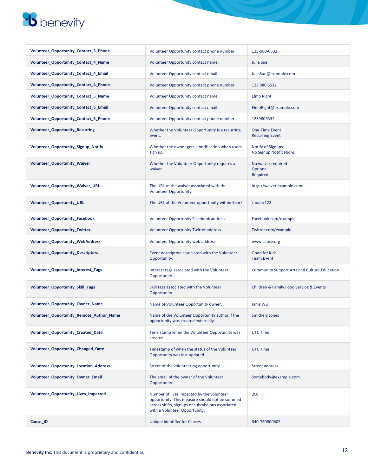| Volunteer_Opportunity_Contact_3_Phone      | Volunteer Opportunity contact phone number.                                                                                                                                      | 123-980-6532                                        |
|--------------------------------------------|----------------------------------------------------------------------------------------------------------------------------------------------------------------------------------|-----------------------------------------------------|
| Volunteer_Opportunity_Contact_4_Name       | Volunteer Opportunity contact name.                                                                                                                                              | Julia Sue                                           |
| Volunteer_Opportunity_Contact_4_Email      | Volunteer Opportunity contact email.                                                                                                                                             | JuliaSue@example.com                                |
| Volunteer Opportunity Contact 4 Phone      | Volunteer Opportunity contact phone number.                                                                                                                                      | 123 980 6532                                        |
| Volunteer_Opportunity_Contact_5_Name       | Volunteer Opportunity contact name.                                                                                                                                              | Elmo Right                                          |
| Volunteer Opportunity Contact 5 Email      | Volunteer Opportunity contact email.                                                                                                                                             | ElmoRight@example.com                               |
| Volunteer Opportunity Contact 5 Phone      | Volunteer Opportunity contact phone number.                                                                                                                                      | 1239806532                                          |
| <b>Volunteer Opportunity Recurring</b>     | Whether the Volunteer Opportunity is a recurring<br>event.                                                                                                                       | <b>One-Time Event</b><br><b>Recurring Event</b>     |
| <b>Volunteer_Opportunity_Signup_Notify</b> | Whether the owner gets a notification when users<br>sign up.                                                                                                                     | <b>Notify of Signups</b><br>No Signup Notifications |
| <b>Volunteer_Opportunity_Waiver</b>        | Whether the Volunteer Opportunity requires a<br>waiver.                                                                                                                          | No waiver required<br>Optional<br>Required          |
| Volunteer_Opportunity_Waiver_URL           | The URL to the waiver associated with the<br>Volunteer Opportunity.                                                                                                              | http://waiver.example.com                           |
| Volunteer_Opportunity_URL                  | The URL of the Volunteer opportunity within Spark.                                                                                                                               | /node/123                                           |
| Volunteer_Opportunity_Facebook             | Volunteer Opportunity Facebook address.                                                                                                                                          | Facebook.com/example                                |
| Volunteer_Opportunity_Twitter              | Volunteer Opportunity Twitter address.                                                                                                                                           | Twitter.com/example                                 |
| <b>Volunteer_Opportunity_WebAddress</b>    | Volunteer Opportunity web address.                                                                                                                                               | www.cause.org                                       |
| <b>Volunteer_Opportunity_Descriptors</b>   | Event descriptors associated with the Volunteer<br>Opportunity.                                                                                                                  | <b>Good for Kids</b><br><b>Team Event</b>           |
| Volunteer_Opportunity_Interest_Tags        | Interest tags associated with the Volunteer<br>Opportunity.                                                                                                                      | Community Support, Arts and Culture, Education      |
| Volunteer_Opportunity_Skill_Tags           | Skill tags associated with the Volunteer<br>Opportunity.                                                                                                                         | Children & Family, Food Service & Events            |
| Volunteer_Opportunity_Owner_Name           | Name of Volunteer Opportunity owner.                                                                                                                                             | Janis Wu                                            |
| Volunteer_Opportunity_Remote_Author_Name   | Name of the Volunteer Opportunity author if the<br>opportunity was created externally.                                                                                           | <b>Smithers Jones</b>                               |
| Volunteer_Opportunity_Created_Date         | Time stamp when the Volunteer Opportunity was<br>created.                                                                                                                        | <b>UTC Time</b>                                     |
| Volunteer_Opportunity_Changed_Date         | Timestamp of when the status of the Volunteer<br>Opportunity was last updated.                                                                                                   | UTC Time                                            |
| Volunteer_Opportunity_Location_Address     | Street of the volunteering opportunity.                                                                                                                                          | <b>Street address</b>                               |
| Volunteer_Opportunity_Owner_Email          | The email of the owner of the Volunteer<br>Opportunity.                                                                                                                          | Somebody@example.com                                |
| Volunteer_Opportunity_Lives_Impacted       | Number of lives impacted by the volunteer<br>opportunity. This measure should not be summed<br>across shifts, signups or submissions associated<br>with a Volunteer Opportunity. | 200                                                 |
| Cause_ID                                   | Unique identifier for Causes.                                                                                                                                                    | 840-750800605                                       |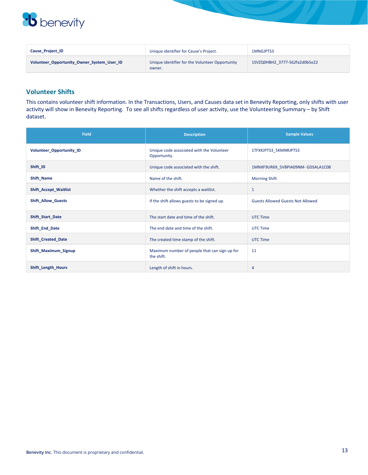

| Cause Project ID                           | Unique identifier for Cause's Project.                    | 1MNGJPTS3                     |
|--------------------------------------------|-----------------------------------------------------------|-------------------------------|
| Volunteer Opportunity Owner System User ID | Unique identifier for the Volunteer Opportunity<br>owner. | 1SVZQ0HBH2 3777-562fa2d0b5e22 |

### **Volunteer Shifts**

This contains volunteer shift information. In the Transactions, Users, and Causes data set in Benevity Reporting, only shifts with user activity will show in Benevity Reporting. To see all shifts regardless of user activity, use the Volunteering Summary – by Shift dataset.

| <b>Field</b>                 | <b>Description</b>                                          | <b>Sample Values</b>                     |
|------------------------------|-------------------------------------------------------------|------------------------------------------|
| Volunteer_Opportunity_ID     | Unique code associated with the Volunteer<br>Opportunity.   | 1TFXKJPTS3_5KMNRJPTS3                    |
| Shift ID                     | Unique code associated with the shift.                      | 1MNXF9UR69_5VBPIA09NM-GDSALA1C0B         |
| Shift Name                   | Name of the shift.                                          | <b>Morning Shift</b>                     |
| <b>Shift_Accept_Waitlist</b> | Whether the shift accepts a waitlist.                       | $\mathbf{1}$                             |
| <b>Shift_Allow_Guests</b>    | If the shift allows guests to be signed up.                 | <b>Guests Allowed Guests Not Allowed</b> |
| Shift_Start_Date             | The start date and time of the shift.                       | <b>UTC Time</b>                          |
| Shift_End_Date               | The end date and time of the shift.                         | <b>UTC Time</b>                          |
| Shift_Created_Date           | The created time stamp of the shift.                        | <b>UTC Time</b>                          |
| Shift_Maximum_Signup         | Maximum number of people that can sign up for<br>the shift. | 11                                       |
| <b>Shift Length Hours</b>    | Length of shift in hours.                                   | $\overline{4}$                           |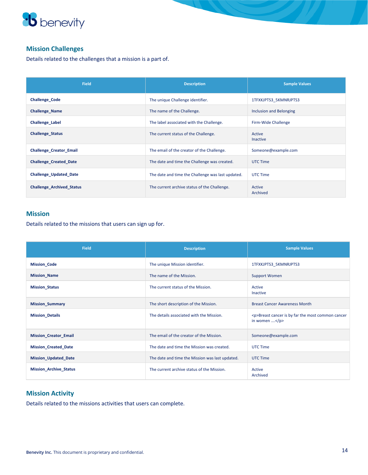

### **Mission Challenges**

Details related to the challenges that a mission is a part of.

| <b>Field</b>                     | <b>Description</b>                                | <b>Sample Values</b>      |
|----------------------------------|---------------------------------------------------|---------------------------|
| <b>Challenge Code</b>            | The unique Challenge identifier.                  | 1TFXKJPTS3_5KMNRJPTS3     |
| <b>Challenge Name</b>            | The name of the Challenge.                        | Inclusion and Belonging   |
| Challenge Label                  | The label associated with the Challenge.          | Firm-Wide Challenge       |
| <b>Challenge Status</b>          | The current status of the Challenge.              | Active<br><b>Inactive</b> |
| <b>Challenge Creator Email</b>   | The email of the creator of the Challenge.        | Someone@example.com       |
| <b>Challenge Created Date</b>    | The date and time the Challenge was created.      | <b>UTC Time</b>           |
| <b>Challenge Updated Date</b>    | The date and time the Challenge was last updated. | UTC Time                  |
| <b>Challenge Archived Status</b> | The current archive status of the Challenge.      | Active<br>Archived        |

### **Mission**

Details related to the missions that users can sign up for.

| <b>Field</b>                  | <b>Description</b>                              | <b>Sample Values</b>                                                                   |
|-------------------------------|-------------------------------------------------|----------------------------------------------------------------------------------------|
| <b>Mission_Code</b>           | The unique Mission identifier.                  | 1TFXKJPTS3_5KMNRJPTS3                                                                  |
| <b>Mission_Name</b>           | The name of the Mission.                        | <b>Support Women</b>                                                                   |
| <b>Mission_Status</b>         | The current status of the Mission.              | Active<br>Inactive                                                                     |
| <b>Mission_Summary</b>        | The short description of the Mission.           | <b>Breast Cancer Awareness Month</b>                                                   |
| <b>Mission_Details</b>        | The details associated with the Mission.        | <p>Breast cancer is by far the most common cancer<br/>in women <math>\dots</math> </p> |
| <b>Mission_Creator_Email</b>  | The email of the creator of the Mission.        | Someone@example.com                                                                    |
| <b>Mission Created Date</b>   | The date and time the Mission was created.      | UTC Time                                                                               |
| <b>Mission_Updated_Date</b>   | The date and time the Mission was last updated. | <b>UTC Time</b>                                                                        |
| <b>Mission_Archive_Status</b> | The current archive status of the Mission.      | Active<br>Archived                                                                     |

### **Mission Activity**

Details related to the missions activities that users can complete.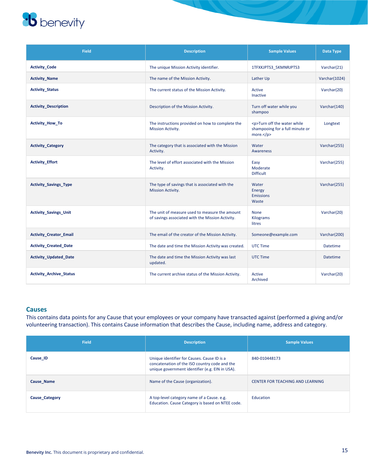| <b>Field</b>                   | <b>Description</b>                                                                                 | <b>Sample Values</b>                                                          | Data Type       |
|--------------------------------|----------------------------------------------------------------------------------------------------|-------------------------------------------------------------------------------|-----------------|
| <b>Activity_Code</b>           | The unique Mission Activity identifier.                                                            | 1TFXKJPTS3_5KMNRJPTS3                                                         | Varchar(21)     |
| <b>Activity Name</b>           | The name of the Mission Activity.                                                                  | Lather Up                                                                     | Varchar(1024)   |
| <b>Activity_Status</b>         | The current status of the Mission Activity.                                                        | Active<br>Inactive                                                            | Varchar(20)     |
| <b>Activity Description</b>    | Description of the Mission Activity.                                                               | Turn off water while you<br>shampoo                                           | Varchar(140)    |
| <b>Activity_How_To</b>         | The instructions provided on how to complete the<br>Mission Activity.                              | <p>Turn off the water while<br/>shampooing for a full minute or<br/>more.</p> | Longtext        |
| <b>Activity_Category</b>       | The category that is associated with the Mission<br>Activity.                                      | Water<br><b>Awareness</b>                                                     | Varchar(255)    |
| <b>Activity Effort</b>         | The level of effort associated with the Mission<br>Activity.                                       | Easy<br>Moderate<br><b>Difficult</b>                                          | Varchar(255)    |
| <b>Activity Savings Type</b>   | The type of savings that is associated with the<br><b>Mission Activity.</b>                        | Water<br>Energy<br><b>Emissions</b><br>Waste                                  | Varchar(255)    |
| <b>Activity_Savings_Unit</b>   | The unit of measure used to measure the amount<br>of savings associated with the Mission Activity. | <b>None</b><br>Kilograms<br>litres                                            | Varchar(20)     |
| <b>Activity Creator Email</b>  | The email of the creator of the Mission Activity.                                                  | Someone@example.com                                                           | Varchar(200)    |
| <b>Activity Created Date</b>   | The date and time the Mission Activity was created.                                                | UTC Time                                                                      | <b>Datetime</b> |
| <b>Activity Updated Date</b>   | The date and time the Mission Activity was last<br>updated.                                        | <b>UTC Time</b>                                                               | <b>Datetime</b> |
| <b>Activity Archive Status</b> | The current archive status of the Mission Activity.                                                | Active<br>Archived                                                            | Varchar(20)     |

#### **Causes**

This contains data points for any Cause that your employees or your company have transacted against (performed a giving and/or volunteering transaction). This contains Cause information that describes the Cause, including name, address and category.

| <b>Field</b>          | <b>Description</b>                                                                                                                              | <b>Sample Values</b>                    |
|-----------------------|-------------------------------------------------------------------------------------------------------------------------------------------------|-----------------------------------------|
| Cause ID              | Unique identifier for Causes. Cause ID is a<br>concatenation of the ISO country code and the<br>unique government identifier (e.g. EIN in USA). | 840-010448173                           |
| Cause Name            | Name of the Cause (organization).                                                                                                               | <b>CENTER FOR TEACHING AND LEARNING</b> |
| <b>Cause Category</b> | A top-level category name of a Cause. e.g.<br>Education. Cause Category is based on NTEE code.                                                  | Education                               |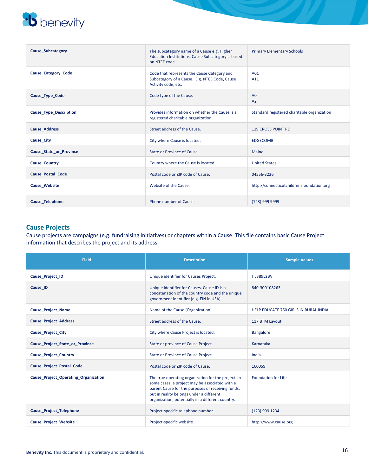| <b>Cause Subcategory</b>       | The subcategory name of a Cause e.g. Higher<br>Education Institutions. Cause Subcategory is based<br>on NTEE code.  | <b>Primary Elementary Schools</b>           |
|--------------------------------|---------------------------------------------------------------------------------------------------------------------|---------------------------------------------|
| <b>Cause Category Code</b>     | Code that represents the Cause Category and<br>Subcategory of a Cause. E.g. NTEE Code, Cause<br>Activity code, etc. | A01<br>A11                                  |
| Cause Type Code                | Code type of the Cause.                                                                                             | A <sub>0</sub><br>A <sub>2</sub>            |
| <b>Cause Type Description</b>  | Provides information on whether the Cause is a<br>registered charitable organization.                               | Standard registered charitable organization |
| <b>Cause Address</b>           | Street address of the Cause.                                                                                        | <b>119 CROSS POINT RD</b>                   |
| <b>Cause City</b>              | City where Cause is located.                                                                                        | <b>EDGECOMB</b>                             |
| <b>Cause State or Province</b> | State or Province of Cause.                                                                                         | Maine                                       |
| <b>Cause Country</b>           | Country where the Cause is located.                                                                                 | <b>United States</b>                        |
| <b>Cause Postal Code</b>       | Postal code or ZIP code of Cause.                                                                                   | 04556-3226                                  |
| <b>Cause Website</b>           | Website of the Cause.                                                                                               | http://connecticutchildrensfoundation.org   |
| <b>Cause Telephone</b>         | Phone number of Cause.                                                                                              | (123) 999 9999                              |

### **Cause Projects**

Cause projects are campaigns (e.g. fundraising initiatives) or chapters within a Cause. This file contains basic Cause Project information that describes the project and its address.

| Field                                       | <b>Description</b>                                                                                                                                                                                                                                          | <b>Sample Values</b>                  |
|---------------------------------------------|-------------------------------------------------------------------------------------------------------------------------------------------------------------------------------------------------------------------------------------------------------------|---------------------------------------|
| Cause Project ID                            | Unique identifier for Causes Project.                                                                                                                                                                                                                       | <b>ITJ389L2BV</b>                     |
| Cause ID                                    | Unique identifier for Causes. Cause ID is a<br>concatenation of the country code and the unique<br>government identifier (e.g. EIN in USA).                                                                                                                 | 840-300108263                         |
| <b>Cause Project Name</b>                   | Name of the Cause (Organization).                                                                                                                                                                                                                           | HELP EDUCATE 750 GIRLS IN RURAL INDIA |
| <b>Cause Project Address</b>                | Street address of the Cause.                                                                                                                                                                                                                                | 117 BTM Layout                        |
| <b>Cause Project City</b>                   | City where Cause Project is located.                                                                                                                                                                                                                        | <b>Bangalore</b>                      |
| <b>Cause Project State or Province</b>      | State or province of Cause Project.                                                                                                                                                                                                                         | Karnataka                             |
| <b>Cause Project Country</b>                | State or Province of Cause Project.                                                                                                                                                                                                                         | India                                 |
| <b>Cause Project Postal Code</b>            | Postal code or ZIP code of Cause.                                                                                                                                                                                                                           | 160059                                |
| <b>Cause Project Operating Organization</b> | The true operating organization for the project. In<br>some cases, a project may be associated with a<br>parent Cause for the purposes of receiving funds,<br>but in reality belongs under a different<br>organization, potentially in a different country. | <b>Foundation for Life</b>            |
| <b>Cause Project Telephone</b>              | Project-specific telephone number.                                                                                                                                                                                                                          | (123) 999 1234                        |
| <b>Cause Project Website</b>                | Project-specific website.                                                                                                                                                                                                                                   | http://www.cause.org                  |